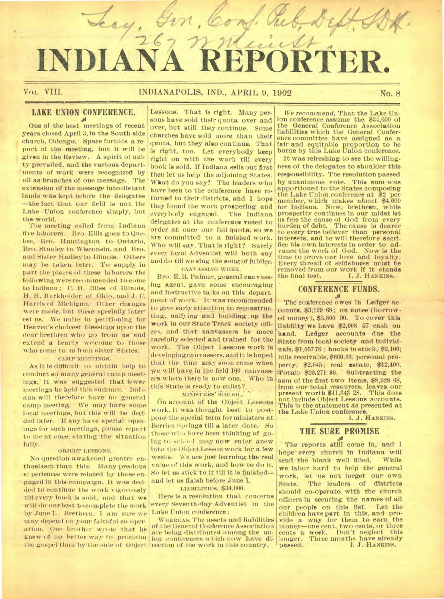# ery, t **INDIANA REPORTER.**

1. Che

Gin,

### VOL VIII. **INDIANAPOLIS, IND., APRIL 9, 1902** No. 8

# **LAKE UNION CONFERENCE.**

One of the best meetings of recent years closed April 3, in the South-side church, Chicago. Space forbids a report of the meeting, but it will be given in the Review. A spirit of uni ty prevailed, and the various departments of work were recognized by all as-branches of one message. The extension of the message into distant lands was kept before the delegates —the fact that our field is not the Lake Union conference simply, but the world.

The meeting called from Indiana five laborers. Bro. Ellis goes to Quebec, Bro. Huntington to. Ontario, Bro. Stanley to Wisconsin, and Bro. and Sister Hadley to Illinois. Others may be taken later. To supply in part the places of these laborers the following were recommended to come to Indiana ; C. H. Bliss of Illinois, H. H. Burkholder of Ohio, and J. C. Harris of Michigan. Other changes were made, but theke specially inter est us. We unite in petitioning for Heaven's choicest blessings upon the dear brethren who go from us and extend a hearty welcome to those who come to us from sister States. CAMP MEETINGS.

As it Is difficult to obtain help to conduct so many general camp meetings, it was suggested that fewer meetings be held this summer. Indiana will therefore have no general camp meeting. We may have some local meetings, but this will be decided later. If any have special openings for such meetings, please report to meat once, stating 'the situation fully.

### OBJECT I.ESSONS.

No question awakened greater enthusiasm than this. Many precious e. periences were related by those engaged in this campaign. It was decided to continue the work vigorously till every book Is sold, and that we will do our best to complete the work by June 1. Brethren. I am sure we may depend on your faithful co-operation. One brother wrote that he knew of no better way to proclaim ion conferences which now have di-

Lessons. That is right. Many persons have sold their quota over and over, but still they continue. Some churches have sold more than their quota, but they also continue. That is right, too. Let everybody keep right on with the work till every book is sold. If Indiana sells out first then let us help the adjoining States. What do you say? The leaders who have been to the conference have returned to their districts, and I hope they found the work prospering and everybody engaged. The Indiana delegates at the conference voted to order at once our full Quota, so we are committed to a finished work. Who will say, That is right? Surely every loyal Adventist will both say and do till we sing the song of jubilee. CANVASSING WORK.

Bro. E. R. Palmer; general canvassing agent, gave some encouraging and instructive talks on this depart ment of work. It was recommended to give early attention to reconstructing, unifying and building up the work in our State Tract society offices, and that canvassers be more carefully selected and trained for the work. The Object Lessons work is developing canvassers, and it is hoped that the time may soon come when we will have in the field 100 canvassers where there is now one. Who in this State is ready to enlist?

### MINISTERS' SCHOOL.

On account of the Object Lessons work, it was thought best to postpone the special term for ministers at Berrien Springs till a later date. So those who have been thinking of going to school may now enter anew into the Object Lesson work for a few weeks. We are just learning the real value of this work, and how to do it. SO let us stick- to it till it is finished and let us finish before June 1.

LIABILITIES, \$34,000.

Here is a resolution that concerns every Seventh-day AdVentist In the Lake Union conference:

the gospel than by the sale of Object. rection of the work in this country, WHEREAS, The assets and liabilities of the; General Conference Association are being distributed among the un-

We *recommend,* That the Lake Union conference assume the \$34,000 of the General Conference Association liabilities which the General Conference committee have assigned as a fair and equitable proportion to he borne by this Lake Union conference.

It was refreshing to see the willingness of the delegates to shoulder this responsibility. The resolution passed by unanimous vote. This sum was apportioned to the States composing the Lake Union conference at \$2 per member, which makes about \$4.000 for Indiana. Now, brethren, while prosperity continues in our midst let us free the cause of God from every burden of debt. The cause is dearer to every true believer than personal interests, and he will therefore sacrifice his own interests in order to advance the work of God. Now is the time to prove our love and loyalty. Every thread of selfishness must be removed from our work if it stands<br>the final test. [1, J. HANKINS.] I. J. HANKINS,

#### **CONFERENCE FUNDS. .se**

The conference owes in Ledger accounts, \$3,12968; on notes (borrowed money), \$5,800 00. To cover this liability we have \$2,008 57 cash on hand. Ledger accounts due the State from local society and individuals, \$1,05776; books in stock, \$2,100; hills receivable, \$660.63; personal property. \$2,045; real estate, \$12,400. Totak: \$20,271 96. Subtracting the sum of the first two items, \$8,928 68. from our total resources, leaves our<br>present worth \$11,343 28. This does present worth \$11,343 28. not include Object Lessons accounts. This is the statement as presented at the Lake Union conference.

I. J. HANKINS.

# **THE SURE PROMISE**

The reports still come in, and I hope every church in Indiana will<br>send the blank well filled. While send the blank well filled. we labor hard to help the general work, let us not forget our own<br>State. The leaders of districts The leaders of districts should co-operate with the church officers in securing the names of all our people on this list. children have part in this, and provide a way for them to earn the money—one cent, two cents, or three cents a week. Don't neglect this longer. Three months have already passed. I. J. HANKINS.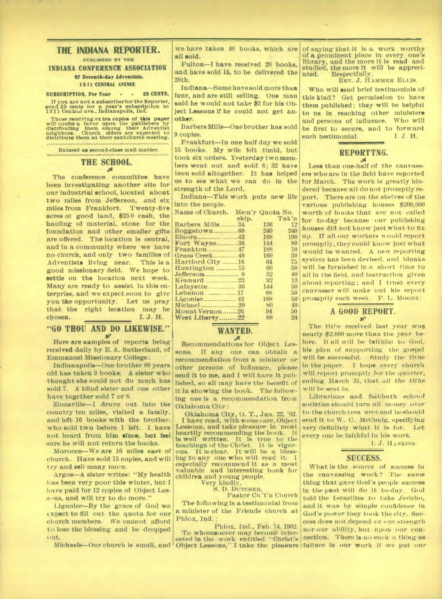### **THE INDIANA REPORTER. PUBLISHED BY THE INDIANA CONFERENCE ASSOCIATION**

### **Of Seventh-day Adventists. 13II CENTRAL AVENUE**

### **SUBSCRIPTION, Per Year - • 25 CENTS.**

**If you are not a subscriber for the Reporter, send 25 cents for a year's subscription to 1311 Centel ave., Indianapolis, Ind.** 

Those receiving extra copies of this paper will confer a favor upon the publishers by distributing them among their Adventist neighbors. Church elders are expected to distribute them at their nextchurch meeting.

**Entered as second-class mail matter.** 

# **THE SCHOOL.**

**The conference committee have been investigating another site for our industrial school, located about two miles from Jefferson, and six miles from Frankfort. Twenty-five acres of good land, \$250 cash, the hauling of material, stone for the foundation and other smaller gifts are offered. The location is central, and in a community where we have no church, and only two families of Adventists living near. This is a good missionary field. We hope to settle on the location next week. Many are ready to assist in this enterprise, and we expect soon to give you the opportunity. Let us pray that the right lecation may be chosen. I. J. H.** 

#### **"GO THOU AND DO LIKEWISE."**   $96$

**Here are samples of reports being received daily by E. A. Sutherland, of Emmanuel Missionary College:** 

**Indianapolis—One brother 80 years old has taken 9 books. A sister who thought she could not do much has sold 7. A blind sister and one other have together sold 7 or 8.** 

**Zionsville—I drove out into the country ten miles, visited a family, and left 16 books with the brother, who sold two before I left. I have not heard from him since, but feel sure he will not return the books.** 

**Morocco—We are 16 miles east of church. Have sold 15 copies, and will try and sell many more.** 

**Argos—A sister writes: "My health has been very poor this winter, but I have paid for 12 copies of Object Less. ms, and will try to do more."** 

**Ligonier—By the grace of God we expect to fill out the quota for our church members. We cannot afford to lose the blessing and be dropped out.** 

**we have taken 40 books, which are all sold.** 

**Fulton—I have received 20 books, and have sold 15, to be delivered the 28th.** 

**Indiana—Some have sold more than four, and are still selling. One man said he would not take \$3 for his Object Lessons if he could not get another.** 

**Barbers Mills—One brother has sold 9 copies.** 

**Frankfort—In one half day we sold 15 books. My wife felt timid, but took six orders. Yesterday two members went out and sold 8; 32 have been sold altogether. It has helped us to see what we can do in the strength of the Lord,** 

**Indiana—This work puts new life into the people.** 

| Name of Church. Mem'r Quota No. |       |     |       |
|---------------------------------|-------|-----|-------|
|                                 | ship. |     | Tak'n |
| Barbers Mills 34                |       | 136 | 12    |
|                                 |       | 240 | 240   |
|                                 |       | 168 | 100   |
| Fort Wayne36                    |       | 144 | 80    |
| Frankton                        |       | 188 | 10    |
|                                 |       | 160 | 50    |
| Hartford City 16                |       | 64  | 75    |
| Huntington 15                   |       | 60  | 50    |
| Jefferson                       |       | 32  | 40    |
|                                 |       | 92  | 13    |
|                                 |       | 144 | 50    |
| Lebanon $17$                    |       | 68  | 50    |
|                                 |       | 168 | 50    |
|                                 |       | 80  | 40    |
| Mount Vernon26                  |       | 94  | 50    |
| West Liberty22                  |       | XX  |       |

### **WANTED.**

**4' Recommendations for Object Lessons. If any one can obtain a recommendation from a minister or other persons of influence, please send it to me, and I will have it published, so all may have the benefit of it in showing the book. The following one is a recommendation from Oklahoma City :** 

**Oklahoma City, 0. T., Jan. 22, '02. I have read, with so me care, Object Lessoun, and take pleasure in most heartily recommending the book. It**  It is true to the **Christ**. It is vigorteachings of the Christ. **ous. It is clear. It will be a blessing to any one who will read it. I especially recommend it as a most valuable and interesting book for children and young people.** 

**Very kindly,** 

**S. D. DUTCHER, Pastor Ch 't'n Church** 

**The folio wing is a testimonial from a minister of the Friends church at**  Phlox, Ind.

**Michaels—Our church is small, and Object Lessons," I take the pleasure failure in our work if we put our Phlox, Ind., Feb. 14. 1902. To whomsoever may become interested In the work entitled "Christ's** 

**of saying that it is a work worthy of a prominent place in every one's library, and the more it is read and studied, the more it will be appreciated. Respectfully,** 

**REV.** *J.* **HAMMER ELLIS.** 

**Who will send brief testimonials of this kind? Get permission to have them published; they will be helpful to us in reaching other ministers and persons of influence. Who will be first to secure, and to forward**   $such$  testimonial.

### ummessimessimessimessimessi **REPORTTNG.**

Less than one-half of the canvass**ers who are in the field have reported for March. The work is greatly hindered because all do not promptly report. There are on the shelves of the various publishing houses \$200,000 worth of books that are not called for to-day because our publishing houses did not know just what to fix up. If all our workers would report promptly, they could know just what would be wanted. A new reporting system has been devised, and blanks will he furnished in a short time to all in the field, and instruction given about reporting; and I trust every canvasser will make out his report promptly each week. F. L. Moony.** 

### **A GOOD REPORT. or**

**The tithe received last year was nearly \$2,000 more than the year before. If all will be faithful to God, his plan of supporting the gospel will be successful. Study the tithe in the paper. I hope every church will report promptly fur the quarter, ending March 31, that** *all the tithe will* **be sent in.** 

Librarians and Sabbath school **societies should turn all money over to the church trea urer and lie should send it to W. C. McCuaig, specifying very definitely what it is for. Let every one be faithful in his work.** 

**1. J. HANKINS.** 

### **SUCCESS.**

**What is the source of success in the canvassing work? The same thing that gave God's people success**  in the past will do it to-day. God **told the Israelites to take Jericho, and it was by simple confidence in God's power they took the city. Success does not depend or <sup>1</sup> ,11Y strength**  nor our ability, but upon our con**nection. There is no such a thing as**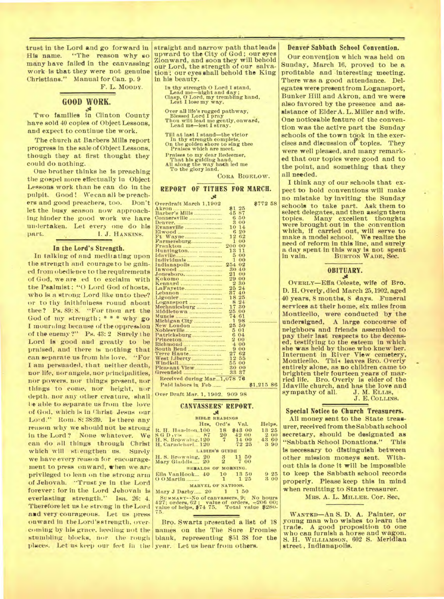trust in the Lord and go forward in His name. "The reason why so many have failed in the canvassing work is that they were not genuine Christians." Manual for Can. p. 9

F. L. MOODY.

## **GOOD WORK.**

Two families in Clinton County have sold 40 copies of Object Lessons, and expect to continue the work.

The church at Barbers Mills report progress in the sale of Object Lessons, though they at first thought they could do nothing.

One brother thinks he is preaching the gospel more effectually in Object Lessons work than he can do in the pulpit. Good! We can all be preachers and good preachers, too. Don't let the busy season now approachlug hinder the good work we have undertaken. Let every one do his I. J. HANKINS.

### **In the Lord's Strength.**

In talking of and meditating upon the strength and courage to be gained from obedience to the requirements of God, we are ed to exclaim with the Psalmist: "O Lord God of hosts, who is a strong Lord like unto thee? Or to thy faithfulness round about thee? Ps. 89: 8. "For thou art the GOd of my strength; \* \* \* why go I mourning because of the oppression of the enemy ?" Ps. 43: 2 Surely **<sup>t</sup>** he Lord is good and greatly to be praised, and there is nothing that can separate us from his love. "For I am persuaded, that neither death, nor life, nor angels, nor principalities, nor powers. nor things present, nor things to come, nor height, nor depth. nor any other creature, shalllie able to separate us from the love of God, which is in Christ Jesus our Lord." Rom. 8: 38:39. Is there any reason why we should not be strong in the Lord? None whatever. We can do all things through Christ which will strengthen us. Surely we have every reason for encouragement to press onward, when we-are privileged to lean on the strong arm of Jehovah. "Trust ye in the Lord forever: for in the Lord Jehovah is everlasting strength." Isa. 26: 4. Therefore let us be strong in the Lord and very courageous. Let us press onward in the Lord's strength, overplaces. Let us keep our feet in the year. Let us hear from others.

straight and narrow path that leads upward to the City of God; our eyes Zionward, and soon they will behold our Lord, the strength of our salvation; our eyes shall behold the King in his beauty.

In thy strength 0 Lord I stand, Lead me—night and day; Clasp, Cr Lord, my trembling hand, Lest I lose my way.

Over all life's rugged pathway, Blessed Lord I pray Thou wilt lead me gently, onward, Lead me—lest I stray.

Till at last I stand—the victor In thy strength complete, On the golden shore to sing thee Praises which are meet.

Praises to my dear Redeemer, That his guiding band, All along the way bath led me To the glory land.

CORA BIGELOW.

### **REPORT OF TITHES FOR MARCH.**

 $\mathcal{R}$ Overdraft March 1,1902 \$772 58 Akron \$1 25 Barber's Mills 45 87 Connersville .... Denver.<br>
Evansville 10 14 Elwood 6 20 Ft Wayne 12 62 Ft Wayne<br>Farmersburg 1 00<br>Frankton 200 00 Huntington 13 11 Idaville 5 00<br>Individuals 1 00 Indianapolis 254 02<br>Inwood 20 40<br>Jonesboro 21 00<br>Kokomo 229 00 Inwood 30 40<br>Jonesboro 21 00 Kokomo 29 00 Kennard 22 80 Rennard<br>
Rennard<br>
LaFayette 25 24<br>
Lafanon<br>
Lagonier 25 24<br>
Lagonier 26 24<br>
Mechanicsburg<br>
Mechanicsburg<br>
26 24<br>
Mechanicsburg<br>
27 30 Lebanon .......... • 87 40 Ligonier 18 25 Logansport 8 24 Mechanicsburg ....... 17 30 Middletown 25 00 Muncie 74 61<br>
Michigan City 1 98<br>
New London 25 50 New London<br>Noblesville 5 01<br>Patricksburg 6 04 Patricksburg 6 04<br>Princeton 2 00 Richmond 4 00 South Bend ...... . 9 00 Terre Haute 27 62 West Liberty.... ......... 12 55 Windfall ..... ..... 55 00 Windkall<br>Pleasant View 80 00<br>Greenfield 88 87 Greenfield Received during Mar...1,078 75 Paid labors in Feb ...... \$1,215 86

Over Draft Mar. 1, 1902. 909 98

### **CANVASSERS' REPORT.**

|                                                          | <b>BIBLE READINGS</b> |            |        |
|----------------------------------------------------------|-----------------------|------------|--------|
| Hrs.                                                     |                       | Ord's Val. | Helps. |
| R. H. Hazelton 100                                       |                       | 18 \$43 00 | 13 25  |
| $S$ G D $_{1}$ v $\vert$ s $\vert$ $\vert$ $\vert$ $S$ 7 |                       | 20 42 00   | 2.00   |
| H. S. Browning, 120                                      | $7\overline{ }$       | 14 00      | 43 60  |
| H. Carmichael 120                                        |                       | 72 25      | 390    |
|                                                          | LADIES'S GUIDE        |            |        |
| H. S. Browning, 20                                       |                       | 3 11 50    |        |
| Mary Gladdis 20                                          | $\overline{2}$        | 7 00       |        |
| HERALDS OF MORNING.                                      |                       |            |        |
| Ella VanHook 40 10 13 50                                 |                       |            | 925    |
| $0.0$ Martin $1$                                         |                       | 1 25       | 3 00   |
| MARVEL OF NATIONS.                                       |                       |            |        |
| $M$ ary J Darby $90 \t 1 \t 150$                         |                       |            |        |

Mary J Darby ..... 20 1 1 50<br>SUMMARY--No of canvassers, 9; No hours 427; orders, 62 ' • value of orders, —206 00; value of helps, \$74 75. Total value \$280- 75.

coming by his grace, heeding not the names on the The Sure Promise stumbling blocks, nor the rough blank, representing \$51 38 for the Bro. Swartz presented a list of 18

#### Denver Sabbath School Convention.

Our convention which was held on Sunday, March 16, proved to be a profitable and interesting meeting. There was a good attendance. Delegates were present from Logansport, Bunker Hill and Akron, and we were also favored by the presence and assistance of Elder A. L. Miller and wife. One noticeable feature of the convention was the active part the Sunday schools of the town took in the exercises and discussion of topics. They were well pleased, and many remarked that our topics were good and to the point, and something that they all needed.

I think any of our schools that expect to hold conventions will make no mistake by inviting the Sunday schools to take part. Ask them to select delegates, and then assign them<br>topics. Many cxcellent thoughts Many excellent thoughts were brought out in the convention which, if carried out, will serve to make a model school. We realize the need of reform in this line, and surely a day spent in this way is not spent BURTON WADE, Sec.

#### **OBITUARY.**  34.

OVERLY—Effa, Celeste, wife of Bro. D. H. Overly, died March 25,1902, aged 40 years, 8 months, 8 days. Funeral services at their home, six miles from Monticello, were conducted by the undersigned, A large concourse of neighbors and friends assembled to pay their last respects to the deceased, testifying to the esteem in which she was held by those who knew her. Interment in River View cemetery, Monticello. This leaves Bro. Overly entirely alone, as no children came to brighten their fourteen years of married life. Bro. Overly is elder of the Idaville church, and has the love and<br>sympathy of all. J. M. ELLIS, sympathy of all. J. M. ELLIS,<br>J. E. COLLINS.

### Special Notice to Church Treasurers.

All money sent to the State treasurer, received from the Sabbath school secretary, should be designated as "Sabbath School Donations." This is necessary to distinguish between other mission moneys sent. Without this is done it will be impossible to keep the Sabbath school records properly. Please keep this in mind when remitting to State treasurer.

MRS. A. L. MILLER. COr. See,

WANTED—An S. D. A. Painter, or young man who wishes to learn the trade. A good proposition to one who can furnish a horse and wagon. S. H. WILLIAMSON, 602 S. Meridian street, Indianapolis.